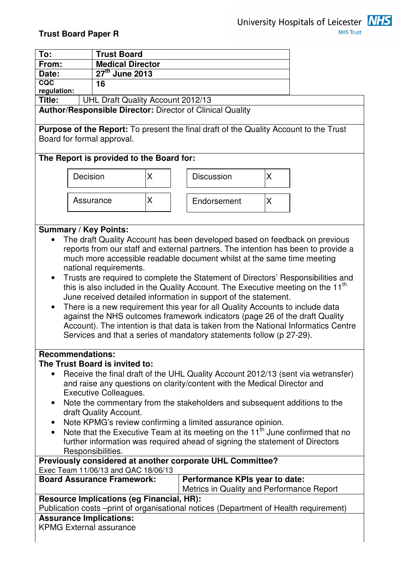

# **Trust Board Paper R**

| To:                                                                                           | <b>Trust Board</b>                                                                         |                  |                                                                                             |                                                                                   |  |  |
|-----------------------------------------------------------------------------------------------|--------------------------------------------------------------------------------------------|------------------|---------------------------------------------------------------------------------------------|-----------------------------------------------------------------------------------|--|--|
| From:                                                                                         | <b>Medical Director</b>                                                                    |                  |                                                                                             |                                                                                   |  |  |
| Date:                                                                                         |                                                                                            | $27th$ June 2013 |                                                                                             |                                                                                   |  |  |
| CQC                                                                                           | 16                                                                                         |                  |                                                                                             |                                                                                   |  |  |
| regulation:                                                                                   |                                                                                            |                  |                                                                                             |                                                                                   |  |  |
| Title:<br>UHL Draft Quality Account 2012/13                                                   |                                                                                            |                  |                                                                                             |                                                                                   |  |  |
| <b>Author/Responsible Director: Director of Clinical Quality</b>                              |                                                                                            |                  |                                                                                             |                                                                                   |  |  |
|                                                                                               |                                                                                            |                  |                                                                                             |                                                                                   |  |  |
| Purpose of the Report: To present the final draft of the Quality Account to the Trust         |                                                                                            |                  |                                                                                             |                                                                                   |  |  |
| Board for formal approval.                                                                    |                                                                                            |                  |                                                                                             |                                                                                   |  |  |
| The Report is provided to the Board for:                                                      |                                                                                            |                  |                                                                                             |                                                                                   |  |  |
|                                                                                               |                                                                                            |                  |                                                                                             |                                                                                   |  |  |
|                                                                                               | Decision                                                                                   | X                | <b>Discussion</b>                                                                           | X                                                                                 |  |  |
|                                                                                               |                                                                                            |                  |                                                                                             |                                                                                   |  |  |
|                                                                                               |                                                                                            |                  |                                                                                             |                                                                                   |  |  |
|                                                                                               | Assurance                                                                                  | X                | Endorsement                                                                                 | X                                                                                 |  |  |
|                                                                                               |                                                                                            |                  |                                                                                             |                                                                                   |  |  |
|                                                                                               |                                                                                            |                  |                                                                                             |                                                                                   |  |  |
|                                                                                               | <b>Summary / Key Points:</b>                                                               |                  |                                                                                             |                                                                                   |  |  |
|                                                                                               |                                                                                            |                  |                                                                                             | The draft Quality Account has been developed based on feedback on previous        |  |  |
|                                                                                               |                                                                                            |                  |                                                                                             | reports from our staff and external partners. The intention has been to provide a |  |  |
|                                                                                               |                                                                                            |                  | much more accessible readable document whilst at the same time meeting                      |                                                                                   |  |  |
|                                                                                               | national requirements.                                                                     |                  |                                                                                             |                                                                                   |  |  |
| $\bullet$                                                                                     |                                                                                            |                  |                                                                                             | Trusts are required to complete the Statement of Directors' Responsibilities and  |  |  |
|                                                                                               |                                                                                            |                  | this is also included in the Quality Account. The Executive meeting on the 11 <sup>th</sup> |                                                                                   |  |  |
|                                                                                               |                                                                                            |                  | June received detailed information in support of the statement.                             |                                                                                   |  |  |
|                                                                                               | There is a new requirement this year for all Quality Accounts to include data              |                  |                                                                                             |                                                                                   |  |  |
|                                                                                               | against the NHS outcomes framework indicators (page 26 of the draft Quality                |                  |                                                                                             |                                                                                   |  |  |
|                                                                                               | Account). The intention is that data is taken from the National Informatics Centre         |                  |                                                                                             |                                                                                   |  |  |
|                                                                                               | Services and that a series of mandatory statements follow (p 27-29).                       |                  |                                                                                             |                                                                                   |  |  |
|                                                                                               |                                                                                            |                  |                                                                                             |                                                                                   |  |  |
|                                                                                               | <b>Recommendations:</b>                                                                    |                  |                                                                                             |                                                                                   |  |  |
|                                                                                               | The Trust Board is invited to:                                                             |                  |                                                                                             |                                                                                   |  |  |
| Receive the final draft of the UHL Quality Account 2012/13 (sent via wetransfer)<br>$\bullet$ |                                                                                            |                  |                                                                                             |                                                                                   |  |  |
|                                                                                               | and raise any questions on clarity/content with the Medical Director and                   |                  |                                                                                             |                                                                                   |  |  |
|                                                                                               | <b>Executive Colleagues.</b>                                                               |                  |                                                                                             |                                                                                   |  |  |
|                                                                                               | Note the commentary from the stakeholders and subsequent additions to the                  |                  |                                                                                             |                                                                                   |  |  |
|                                                                                               | draft Quality Account.                                                                     |                  |                                                                                             |                                                                                   |  |  |
| Note KPMG's review confirming a limited assurance opinion.<br>٠                               |                                                                                            |                  |                                                                                             |                                                                                   |  |  |
|                                                                                               | Note that the Executive Team at its meeting on the 11 <sup>th</sup> June confirmed that no |                  |                                                                                             |                                                                                   |  |  |
|                                                                                               | further information was required ahead of signing the statement of Directors               |                  |                                                                                             |                                                                                   |  |  |
| Responsibilities.                                                                             |                                                                                            |                  |                                                                                             |                                                                                   |  |  |
| Previously considered at another corporate UHL Committee?                                     |                                                                                            |                  |                                                                                             |                                                                                   |  |  |
| Exec Team 11/06/13 and QAC 18/06/13                                                           |                                                                                            |                  |                                                                                             |                                                                                   |  |  |
| <b>Board Assurance Framework:</b>                                                             |                                                                                            |                  | Performance KPIs year to date:                                                              |                                                                                   |  |  |
|                                                                                               |                                                                                            |                  | Metrics in Quality and Performance Report                                                   |                                                                                   |  |  |
| <b>Resource Implications (eg Financial, HR):</b>                                              |                                                                                            |                  |                                                                                             |                                                                                   |  |  |
| Publication costs –print of organisational notices (Department of Health requirement)         |                                                                                            |                  |                                                                                             |                                                                                   |  |  |
| <b>Assurance Implications:</b>                                                                |                                                                                            |                  |                                                                                             |                                                                                   |  |  |
| <b>KPMG External assurance</b>                                                                |                                                                                            |                  |                                                                                             |                                                                                   |  |  |
|                                                                                               |                                                                                            |                  |                                                                                             |                                                                                   |  |  |
|                                                                                               |                                                                                            |                  |                                                                                             |                                                                                   |  |  |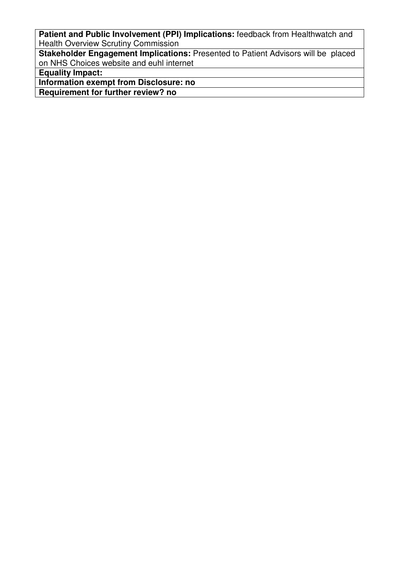**Patient and Public Involvement (PPI) Implications:** feedback from Healthwatch and Health Overview Scrutiny Commission

**Stakeholder Engagement Implications:** Presented to Patient Advisors will be placed on NHS Choices website and euhl internet

**Equality Impact:** 

**Information exempt from Disclosure: no** 

**Requirement for further review? no**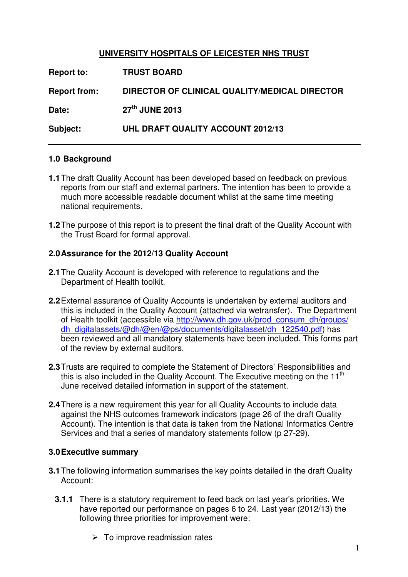# **UNIVERSITY HOSPITALS OF LEICESTER NHS TRUST**

| <b>Report to:</b>   | <b>TRUST BOARD</b>                            |
|---------------------|-----------------------------------------------|
| <b>Report from:</b> | DIRECTOR OF CLINICAL QUALITY/MEDICAL DIRECTOR |
| Date:               | 27th JUNE 2013                                |
| Subject:            | UHL DRAFT QUALITY ACCOUNT 2012/13             |

#### **1.0 Background**

- **1.1** The draft Quality Account has been developed based on feedback on previous reports from our staff and external partners. The intention has been to provide a much more accessible readable document whilst at the same time meeting national requirements.
- **1.2** The purpose of this report is to present the final draft of the Quality Account with the Trust Board for formal approval.

#### **2.0 Assurance for the 2012/13 Quality Account**

- **2.1** The Quality Account is developed with reference to regulations and the Department of Health toolkit.
- **2.2** External assurance of Quality Accounts is undertaken by external auditors and this is included in the Quality Account (attached via wetransfer). The Department of Health toolkit (accessible via http://www.dh.gov.uk/prod\_consum\_dh/groups/ dh\_digitalassets/@dh/@en/@ps/documents/digitalasset/dh\_122540.pdf) has been reviewed and all mandatory statements have been included. This forms part of the review by external auditors.
- **2.3** Trusts are required to complete the Statement of Directors' Responsibilities and this is also included in the Quality Account. The Executive meeting on the  $11<sup>th</sup>$ June received detailed information in support of the statement.
- **2.4** There is a new requirement this year for all Quality Accounts to include data against the NHS outcomes framework indicators (page 26 of the draft Quality Account). The intention is that data is taken from the National Informatics Centre Services and that a series of mandatory statements follow (p 27-29).

## **3.0 Executive summary**

- **3.1** The following information summarises the key points detailed in the draft Quality Account:
	- **3.1.1** There is a statutory requirement to feed back on last year's priorities. We have reported our performance on pages 6 to 24. Last year (2012/13) the following three priorities for improvement were:
		- $\triangleright$  To improve readmission rates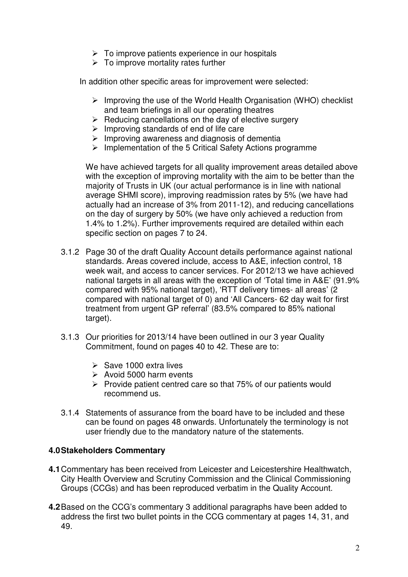- $\triangleright$  To improve patients experience in our hospitals
- $\triangleright$  To improve mortality rates further

In addition other specific areas for improvement were selected:

- $\triangleright$  Improving the use of the World Health Organisation (WHO) checklist and team briefings in all our operating theatres
- $\triangleright$  Reducing cancellations on the day of elective surgery
- $\triangleright$  Improving standards of end of life care
- $\triangleright$  Improving awareness and diagnosis of dementia
- $\triangleright$  Implementation of the 5 Critical Safety Actions programme

We have achieved targets for all quality improvement areas detailed above with the exception of improving mortality with the aim to be better than the majority of Trusts in UK (our actual performance is in line with national average SHMI score), improving readmission rates by 5% (we have had actually had an increase of 3% from 2011-12), and reducing cancellations on the day of surgery by 50% (we have only achieved a reduction from 1.4% to 1.2%). Further improvements required are detailed within each specific section on pages 7 to 24.

- 3.1.2 Page 30 of the draft Quality Account details performance against national standards. Areas covered include, access to A&E, infection control, 18 week wait, and access to cancer services. For 2012/13 we have achieved national targets in all areas with the exception of 'Total time in A&E' (91.9% compared with 95% national target), 'RTT delivery times- all areas' (2 compared with national target of 0) and 'All Cancers- 62 day wait for first treatment from urgent GP referral' (83.5% compared to 85% national target).
- 3.1.3 Our priorities for 2013/14 have been outlined in our 3 year Quality Commitment, found on pages 40 to 42. These are to:
	- $\triangleright$  Save 1000 extra lives
	- $\triangleright$  Avoid 5000 harm events
	- $\triangleright$  Provide patient centred care so that 75% of our patients would recommend us.
- 3.1.4 Statements of assurance from the board have to be included and these can be found on pages 48 onwards. Unfortunately the terminology is not user friendly due to the mandatory nature of the statements.

#### **4.0 Stakeholders Commentary**

- **4.1** Commentary has been received from Leicester and Leicestershire Healthwatch, City Health Overview and Scrutiny Commission and the Clinical Commissioning Groups (CCGs) and has been reproduced verbatim in the Quality Account.
- **4.2** Based on the CCG's commentary 3 additional paragraphs have been added to address the first two bullet points in the CCG commentary at pages 14, 31, and 49.